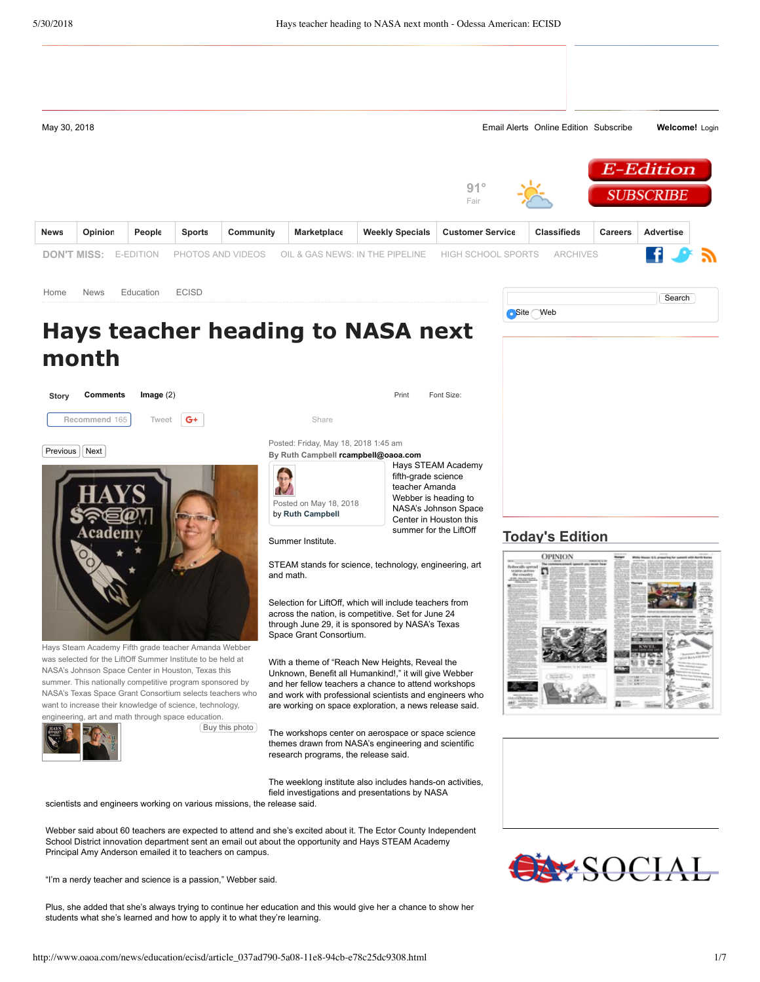